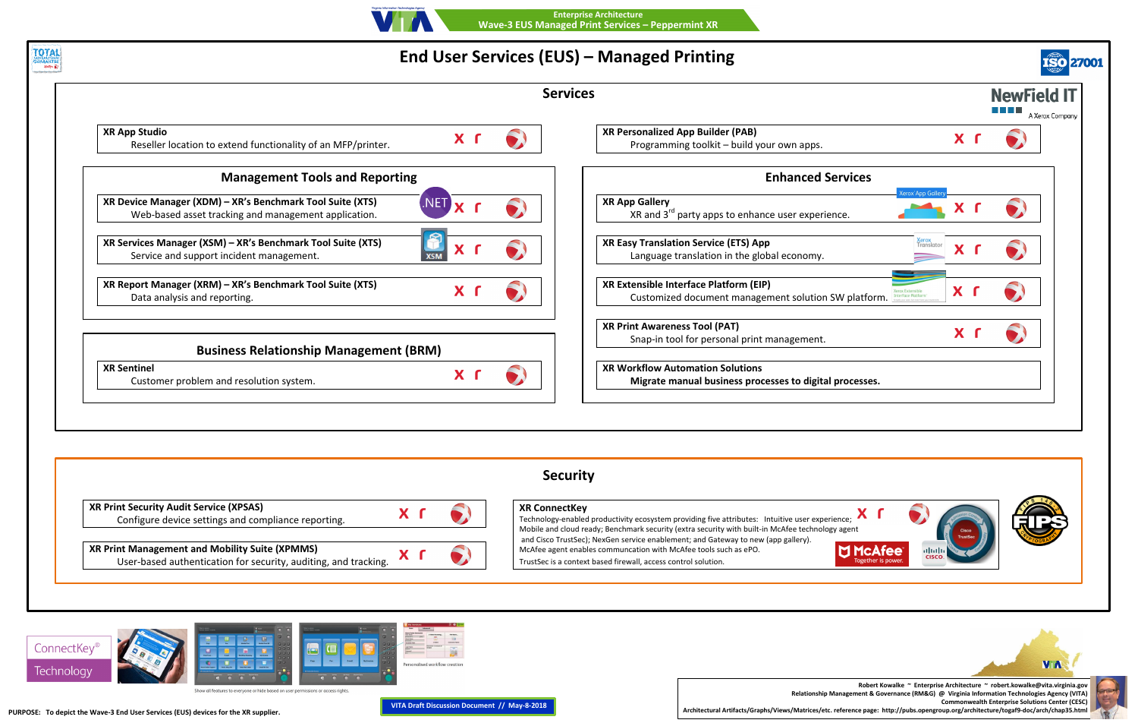

**DI McAfee** ether is po





## **End User Services (EUS) – Managed Pri**







**TOTAL EXAMPLE** 

| int XR |  |
|--------|--|
|        |  |

| inting                                                          |                                        |                                       |
|-----------------------------------------------------------------|----------------------------------------|---------------------------------------|
|                                                                 |                                        | <b>NewField IT</b><br>A Xerox Company |
| <b>Builder (PAB)</b><br>toolkit - build your own apps.          | X I                                    |                                       |
| <b>Enhanced Services</b>                                        |                                        |                                       |
| ty apps to enhance user experience.                             | <b>Xerox App Gallery</b>               |                                       |
| <b>Service (ETS) App</b><br>slation in the global economy.      | <mark>Xerox</mark><br>Translator<br>X. |                                       |
| ace Platform (EIP)<br>ocument management solution SW platform.  | X.                                     |                                       |
| <b>Tool (PAT)</b><br>or personal print management.              | X.                                     |                                       |
| nation Solutions<br>al business processes to digital processes. |                                        |                                       |
|                                                                 |                                        |                                       |
|                                                                 |                                        |                                       |
| ding five attributes: Intuitive user experience;                |                                        |                                       |